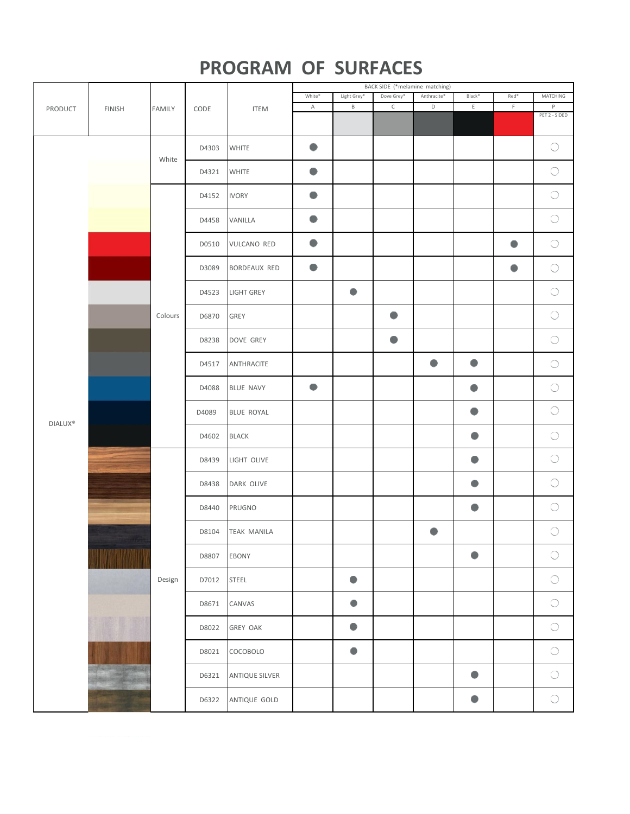## **PROGRAM OF SURFACES**

|                     | <b>FINISH</b> | FAMILY  | CODE  | <b>ITEM</b>           | BACK SIDE (*melamine matching) |             |             |             |           |           |                     |  |
|---------------------|---------------|---------|-------|-----------------------|--------------------------------|-------------|-------------|-------------|-----------|-----------|---------------------|--|
| PRODUCT             |               |         |       |                       | White*                         | Light Grey* | Dove Grey*  | Anthracite* | Black*    | Red*      | MATCHING            |  |
|                     |               |         |       |                       | A                              | $\mathsf B$ | $\mathsf C$ | $\mathsf D$ | Ε         | F         | P                   |  |
|                     |               |         |       |                       |                                |             |             |             |           |           | PET 2 - SIDED       |  |
|                     |               | White   | D4303 | <b>WHITE</b>          |                                |             |             |             |           |           | $\bigcirc$          |  |
|                     |               |         | D4321 | <b>WHITE</b>          | $\bullet$                      |             |             |             |           |           | $\circlearrowright$ |  |
|                     |               |         | D4152 | <b>IVORY</b>          | $\bullet$                      |             |             |             |           |           | $\bigcirc$          |  |
|                     |               |         | D4458 | VANILLA               | ۰                              |             |             |             |           |           | $\circlearrowright$ |  |
|                     |               |         | D0510 | <b>VULCANO RED</b>    | $\bullet$                      |             |             |             |           | $\bullet$ | $\bigcirc$          |  |
|                     |               |         | D3089 | BORDEAUX RED          | $\bullet$                      |             |             |             |           | 0         | $\bigcirc$          |  |
|                     |               |         | D4523 | <b>LIGHT GREY</b>     |                                | $\bullet$   |             |             |           |           | $\bigcirc$          |  |
|                     |               | Colours | D6870 | GREY                  |                                |             | $\bullet$   |             |           |           | $\bigcirc$          |  |
|                     |               |         | D8238 | DOVE GREY             |                                |             | $\bullet$   |             |           |           | $\bigcirc$          |  |
|                     |               |         | D4517 | ANTHRACITE            |                                |             |             |             | $\bullet$ |           | $\bigcirc$          |  |
|                     |               |         | D4088 | <b>BLUE NAVY</b>      | $\bullet$                      |             |             |             | ●         |           | $\bigcirc$          |  |
| DIALUX <sup>®</sup> | فتحصص         |         | D4089 | BLUE ROYAL            |                                |             |             |             | 0         |           | $\bigcirc$          |  |
|                     |               |         | D4602 | <b>BLACK</b>          |                                |             |             |             | ۰         |           | $\bigcirc$          |  |
|                     |               | Design  | D8439 | LIGHT OLIVE           |                                |             |             |             | ۰         |           | $\bigcirc$          |  |
|                     |               |         | D8438 | DARK OLIVE            |                                |             |             |             | $\bullet$ |           | $\bigcirc$          |  |
|                     |               |         | D8440 | PRUGNO                |                                |             |             |             |           |           | $\bigcirc$          |  |
|                     |               |         | D8104 | <b>TEAK MANILA</b>    |                                |             |             | $\bullet$   |           |           | $\bigcirc$          |  |
|                     |               |         | D8807 | EBONY                 |                                |             |             |             |           |           | $\bigcirc$          |  |
|                     |               |         | D7012 | <b>STEEL</b>          |                                |             |             |             |           |           | $\bigcirc$          |  |
|                     |               |         | D8671 | CANVAS                |                                |             |             |             |           |           | $\bigcirc$          |  |
|                     |               |         | D8022 | <b>GREY OAK</b>       |                                | $\bullet$   |             |             |           |           | $\bigcirc$          |  |
|                     |               |         | D8021 | COCOBOLO              |                                | $\bullet$   |             |             |           |           | $\bigcirc$          |  |
|                     |               |         | D6321 | <b>ANTIQUE SILVER</b> |                                |             |             |             |           |           | $\bigcirc$          |  |
|                     |               |         | D6322 | ANTIQUE GOLD          |                                |             |             |             |           |           | $\bigcirc$          |  |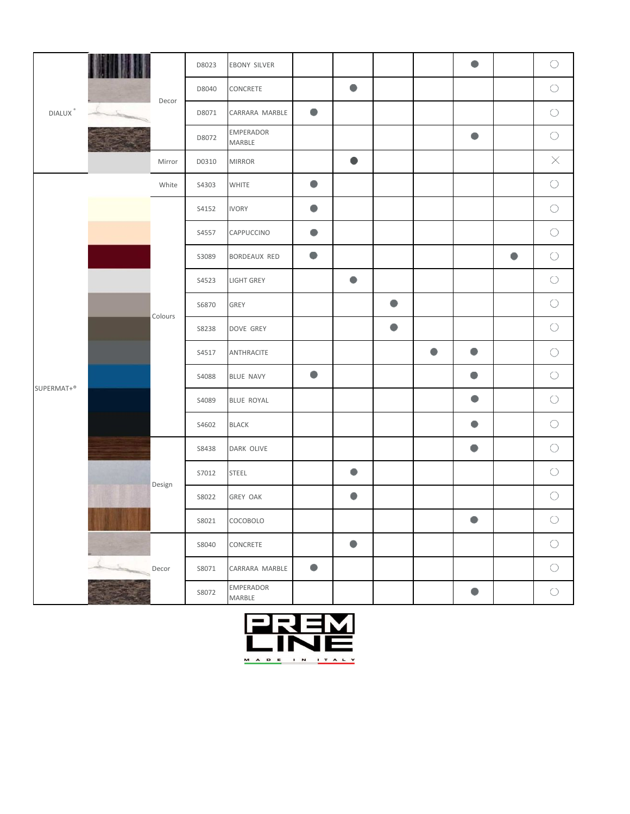| $\mathsf{DIALUX}$ $^{\circ}$ |       | Decor   | D8023  | <b>EBONY SILVER</b> |                 |           |           |           | $\bullet$ |   | $\bigcirc$ |            |
|------------------------------|-------|---------|--------|---------------------|-----------------|-----------|-----------|-----------|-----------|---|------------|------------|
|                              |       |         | D8040  | CONCRETE            |                 |           |           |           |           |   | $\bigcirc$ |            |
|                              | Lin   |         | D8071  | CARRARA MARBLE      | $\bullet$       |           |           |           |           |   | $\bigcirc$ |            |
|                              |       |         | D8072  | EMPERADOR<br>MARBLE |                 |           |           |           |           |   | $\bigcirc$ |            |
|                              |       | Mirror  | D0310  | <b>MIRROR</b>       |                 | $\bullet$ |           |           |           |   | $\times$   |            |
|                              |       | White   | S4303  | <b>WHITE</b>        | $\bullet$       |           |           |           |           |   | $\bigcirc$ |            |
|                              |       |         | S4152  | <b>IVORY</b>        | $\bullet$       |           |           |           |           |   | $\bigcirc$ |            |
|                              |       |         | S4557  | CAPPUCCINO          | 0               |           |           |           |           |   | $\bigcirc$ |            |
|                              |       | Colours | S3089  | BORDEAUX RED        | ۰               |           |           |           |           | ● | $\bigcirc$ |            |
|                              |       |         | S4523  | <b>LIGHT GREY</b>   |                 | ●         |           |           |           |   | $\bigcirc$ |            |
|                              |       |         | S6870  | GREY                |                 |           | $\bullet$ |           |           |   | $\bigcirc$ |            |
|                              |       |         | S8238  | DOVE GREY           |                 |           | $\bullet$ |           |           |   | $\bigcirc$ |            |
|                              |       |         | S4517  | ANTHRACITE          |                 |           |           | $\bullet$ | $\bullet$ |   | $\bigcirc$ |            |
|                              |       |         | S4088  | BLUE NAVY           | $\bullet$       |           |           |           | $\bullet$ |   | $\bigcirc$ |            |
| SUPERMAT+®                   |       |         | S4089  | BLUE ROYAL          |                 |           |           |           | $\bullet$ |   | $\bigcirc$ |            |
|                              |       |         | S4602  | <b>BLACK</b>        |                 |           |           |           |           |   | $\bigcirc$ |            |
|                              |       |         | S8438  | DARK OLIVE          |                 |           |           |           | $\bullet$ |   | $\bigcirc$ |            |
|                              |       |         | S7012  | <b>STEEL</b>        |                 | ۰         |           |           |           |   | $\bigcirc$ |            |
|                              |       |         | Design | S8022               | <b>GREY OAK</b> |           |           |           |           |   |            | $\bigcirc$ |
|                              |       |         | S8021  | COCOBOLO            |                 |           |           |           | $\bullet$ |   | $\bigcirc$ |            |
|                              |       |         | S8040  | CONCRETE            |                 |           |           |           |           |   | $\bigcirc$ |            |
|                              | Decor |         | S8071  | CARRARA MARBLE      | $\bullet$       |           |           |           |           |   | $\bigcirc$ |            |
|                              |       |         | S8072  | EMPERADOR<br>MARBLE |                 |           |           |           |           |   | $\bigcirc$ |            |